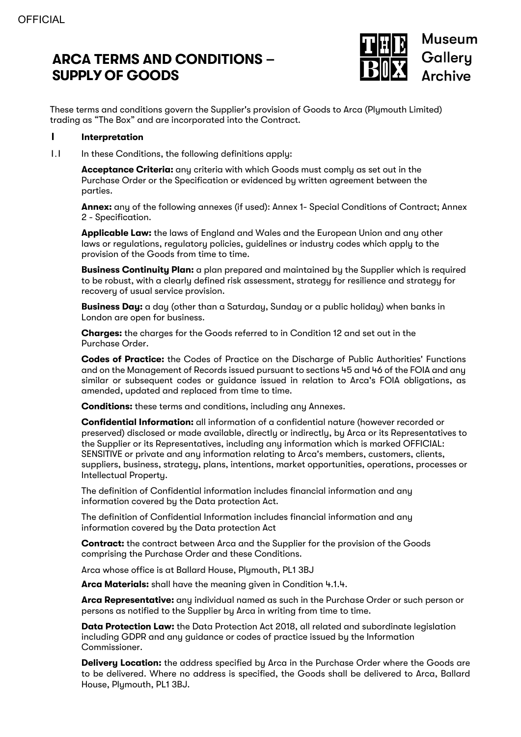# **ARCA TERMS AND CONDITIONS – SUPPLY OF GOODS**



These terms and conditions govern the Supplier's provision of Goods to Arca (Plymouth Limited) trading as "The Box" and are incorporated into the Contract.

#### **1 Interpretation**

1.1 In these Conditions, the following definitions apply:

**Acceptance Criteria:** any criteria with which Goods must comply as set out in the Purchase Order or the Specification or evidenced by written agreement between the parties.

**Annex:** any of the following annexes (if used): Annex 1- Special Conditions of Contract; Annex 2 - Specification.

**Applicable Law:** the laws of England and Wales and the European Union and any other laws or regulations, regulatory policies, guidelines or industry codes which apply to the provision of the Goods from time to time.

**Business Continuity Plan:** a plan prepared and maintained by the Supplier which is required to be robust, with a clearly defined risk assessment, strategy for resilience and strategy for recovery of usual service provision.

**Business Day:** a day (other than a Saturday, Sunday or a public holiday) when banks in London are open for business.

**Charges:** the charges for the Goods referred to in Condition 12 and set out in the Purchase Order.

**Codes of Practice:** the Codes of Practice on the Discharge of Public Authorities' Functions and on the Management of Records issued pursuant to sections 45 and 46 of the FOIA and any similar or subsequent codes or guidance issued in relation to Arca's FOIA obligations, as amended, updated and replaced from time to time.

**Conditions:** these terms and conditions, including any Annexes.

**Confidential Information:** all information of a confidential nature (however recorded or preserved) disclosed or made available, directly or indirectly, by Arca or its Representatives to the Supplier or its Representatives, including any information which is marked OFFICIAL: SENSITIVE or private and any information relating to Arca's members, customers, clients, suppliers, business, strategy, plans, intentions, market opportunities, operations, processes or Intellectual Property.

The definition of Confidential information includes financial information and any information covered by the Data protection Act.

The definition of Confidential Information includes financial information and any information covered by the Data protection Act

**Contract:** the contract between Arca and the Supplier for the provision of the Goods comprising the Purchase Order and these Conditions.

Arca whose office is at Ballard House, Plymouth, PL1 3BJ

**Arca Materials:** shall have the meaning given in Condition 4.1.4.

**Arca Representative:** any individual named as such in the Purchase Order or such person or persons as notified to the Supplier by Arca in writing from time to time.

**Data Protection Law:** the Data Protection Act 2018, all related and subordinate legislation including GDPR and any guidance or codes of practice issued by the Information Commissioner.

**Delivery Location:** the address specified by Arca in the Purchase Order where the Goods are to be delivered. Where no address is specified, the Goods shall be delivered to Arca, Ballard House, Plymouth, PL1 3BJ.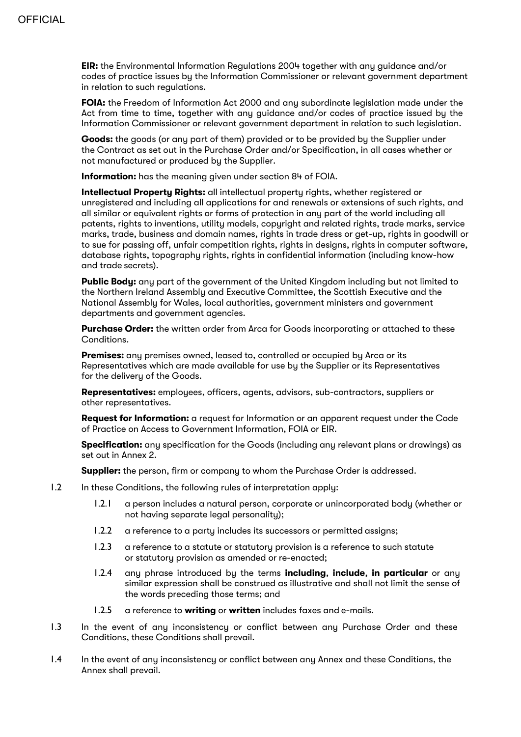**EIR:** the Environmental Information Regulations 2004 together with any guidance and/or codes of practice issues by the Information Commissioner or relevant government department in relation to such regulations.

**FOIA:** the Freedom of Information Act 2000 and any subordinate legislation made under the Act from time to time, together with any guidance and/or codes of practice issued by the Information Commissioner or relevant government department in relation to such legislation.

**Goods:** the goods (or any part of them) provided or to be provided by the Supplier under the Contract as set out in the Purchase Order and/or Specification, in all cases whether or not manufactured or produced by the Supplier.

**Information:** has the meaning given under section 84 of FOIA.

**Intellectual Property Rights:** all intellectual property rights, whether registered or unregistered and including all applications for and renewals or extensions of such rights, and all similar or equivalent rights or forms of protection in any part of the world including all patents, rights to inventions, utility models, copyright and related rights, trade marks, service marks, trade, business and domain names, rights in trade dress or get-up, rights in goodwill or to sue for passing off, unfair competition rights, rights in designs, rights in computer software, database rights, topography rights, rights in confidential information (including know-how and trade secrets).

**Public Body:** any part of the government of the United Kingdom including but not limited to the Northern Ireland Assembly and Executive Committee, the Scottish Executive and the National Assembly for Wales, local authorities, government ministers and government departments and government agencies.

**Purchase Order:** the written order from Arca for Goods incorporating or attached to these Conditions.

**Premises:** any premises owned, leased to, controlled or occupied by Arca or its Representatives which are made available for use by the Supplier or its Representatives for the delivery of the Goods.

**Representatives:** employees, officers, agents, advisors, sub-contractors, suppliers or other representatives.

**Request for Information:** a request for Information or an apparent request under the Code of Practice on Access to Government Information, FOIA or EIR.

**Specification:** any specification for the Goods (including any relevant plans or drawings) as set out in Annex 2.

**Supplier:** the person, firm or company to whom the Purchase Order is addressed.

- 1.2 In these Conditions, the following rules of interpretation apply:
	- 1.2.1 a person includes a natural person, corporate or unincorporated body (whether or not having separate legal personality);
	- 1.2.2 a reference to a party includes its successors or permitted assigns;
	- 1.2.3 a reference to a statute or statutory provision is a reference to such statute or statutory provision as amended or re-enacted;
	- 1.2.4 any phrase introduced by the terms **including**, **include**, **in particular** or any similar expression shall be construed as illustrative and shall not limit the sense of the words preceding those terms; and
	- 1.2.5 a reference to **writing** or **written** includes faxes and e-mails.
- 1.3 In the event of any inconsistency or conflict between any Purchase Order and these Conditions, these Conditions shall prevail.
- 1.4 In the event of any inconsistency or conflict between any Annex and these Conditions, the Annex shall prevail.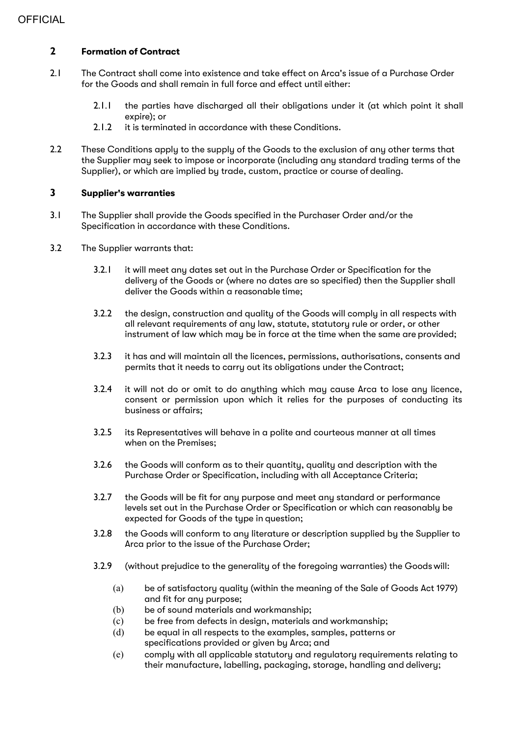# **2 Formation of Contract**

- 2.1 The Contract shall come into existence and take effect on Arca's issue of a Purchase Order for the Goods and shall remain in full force and effect until either:
	- 2.1.1 the parties have discharged all their obligations under it (at which point it shall expire); or
	- 2.1.2 it is terminated in accordance with these Conditions.
- 2.2 These Conditions apply to the supply of the Goods to the exclusion of any other terms that the Supplier may seek to impose or incorporate (including any standard trading terms of the Supplier), or which are implied by trade, custom, practice or course of dealing.

# **3 Supplier's warranties**

- 3.1 The Supplier shall provide the Goods specified in the Purchaser Order and/or the Specification in accordance with these Conditions.
- 3.2 The Supplier warrants that:
	- 3.2.1 it will meet any dates set out in the Purchase Order or Specification for the delivery of the Goods or (where no dates are so specified) then the Supplier shall deliver the Goods within a reasonable time;
	- 3.2.2 the design, construction and quality of the Goods will comply in all respects with all relevant requirements of any law, statute, statutory rule or order, or other instrument of law which may be in force at the time when the same are provided;
	- 3.2.3 it has and will maintain all the licences, permissions, authorisations, consents and permits that it needs to carry out its obligations under the Contract;
	- 3.2.4 it will not do or omit to do anything which may cause Arca to lose any licence, consent or permission upon which it relies for the purposes of conducting its business or affairs;
	- 3.2.5 its Representatives will behave in a polite and courteous manner at all times when on the Premises;
	- 3.2.6 the Goods will conform as to their quantity, quality and description with the Purchase Order or Specification, including with all Acceptance Criteria;
	- 3.2.7 the Goods will be fit for any purpose and meet any standard or performance levels set out in the Purchase Order or Specification or which can reasonably be expected for Goods of the type in question;
	- 3.2.8 the Goods will conform to any literature or description supplied by the Supplier to Arca prior to the issue of the Purchase Order;
	- 3.2.9 (without prejudice to the generality of the foregoing warranties) the Goods will:
		- (a) be of satisfactory quality (within the meaning of the Sale of Goods Act 1979) and fit for any purpose;
		- (b) be of sound materials and workmanship;
		- (c) be free from defects in design, materials and workmanship;
		- (d) be equal in all respects to the examples, samples, patterns or specifications provided or given by Arca; and
		- (e) comply with all applicable statutory and regulatory requirements relating to their manufacture, labelling, packaging, storage, handling and delivery;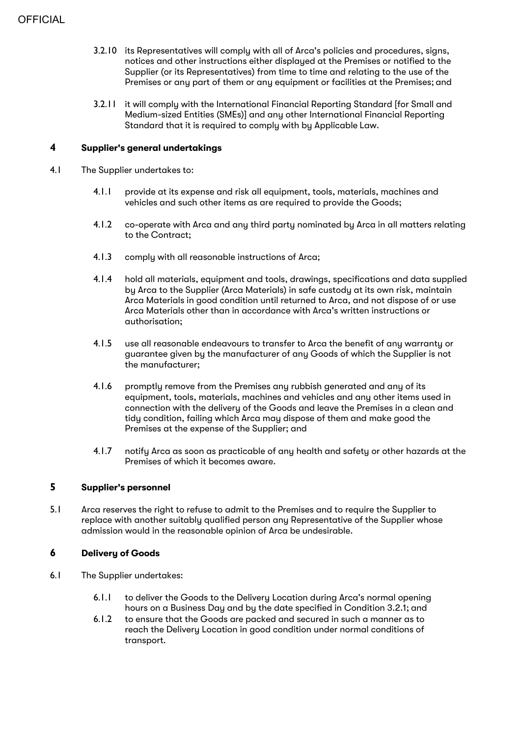- 3.2.10 its Representatives will comply with all of Arca's policies and procedures, signs, notices and other instructions either displayed at the Premises or notified to the Supplier (or its Representatives) from time to time and relating to the use of the Premises or any part of them or any equipment or facilities at the Premises; and
- 3.2.11 it will comply with the International Financial Reporting Standard [for Small and Medium-sized Entities (SMEs)] and any other International Financial Reporting Standard that it is required to comply with by Applicable Law.

#### **4 Supplier's general undertakings**

- 4.1 The Supplier undertakes to:
	- 4.1.1 provide at its expense and risk all equipment, tools, materials, machines and vehicles and such other items as are required to provide the Goods;
	- 4.1.2 co-operate with Arca and any third party nominated by Arca in all matters relating to the Contract;
	- 4.1.3 comply with all reasonable instructions of Arca;
	- 4.1.4 hold all materials, equipment and tools, drawings, specifications and data supplied by Arca to the Supplier (Arca Materials) in safe custody at its own risk, maintain Arca Materials in good condition until returned to Arca, and not dispose of or use Arca Materials other than in accordance with Arca's written instructions or authorisation;
	- 4.1.5 use all reasonable endeavours to transfer to Arca the benefit of any warranty or guarantee given by the manufacturer of any Goods of which the Supplier is not the manufacturer;
	- 4.1.6 promptly remove from the Premises any rubbish generated and any of its equipment, tools, materials, machines and vehicles and any other items used in connection with the delivery of the Goods and leave the Premises in a clean and tidy condition, failing which Arca may dispose of them and make good the Premises at the expense of the Supplier; and
	- 4.1.7 notify Arca as soon as practicable of any health and safety or other hazards at the Premises of which it becomes aware.

# **5 Supplier's personnel**

5.1 Arca reserves the right to refuse to admit to the Premises and to require the Supplier to replace with another suitably qualified person any Representative of the Supplier whose admission would in the reasonable opinion of Arca be undesirable.

# **6 Delivery of Goods**

- 6.1 The Supplier undertakes:
	- 6.1.1 to deliver the Goods to the Delivery Location during Arca's normal opening hours on a Business Day and by the date specified in Condition 3.2.1; and
	- 6.1.2 to ensure that the Goods are packed and secured in such a manner as to reach the Delivery Location in good condition under normal conditions of transport.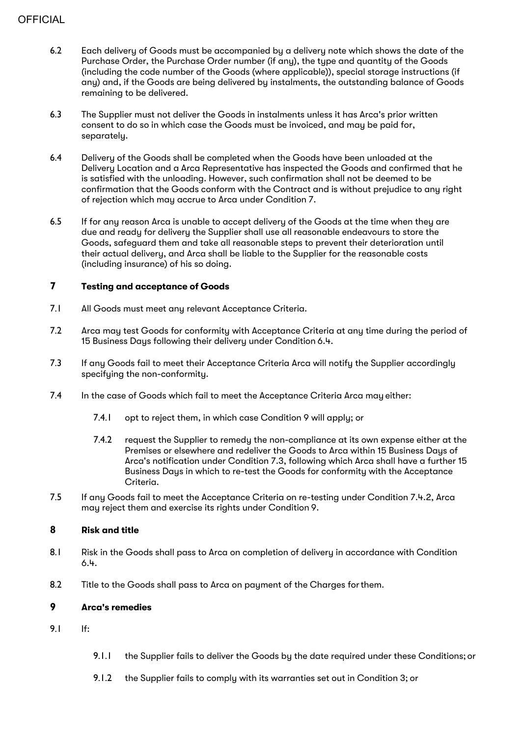# **OFFICIAL**

- 6.2 Each delivery of Goods must be accompanied by a delivery note which shows the date of the Purchase Order, the Purchase Order number (if any), the type and quantity of the Goods (including the code number of the Goods (where applicable)), special storage instructions (if any) and, if the Goods are being delivered by instalments, the outstanding balance of Goods remaining to be delivered.
- 6.3 The Supplier must not deliver the Goods in instalments unless it has Arca's prior written consent to do so in which case the Goods must be invoiced, and may be paid for, separately.
- 6.4 Delivery of the Goods shall be completed when the Goods have been unloaded at the Delivery Location and a Arca Representative has inspected the Goods and confirmed that he is satisfied with the unloading. However, such confirmation shall not be deemed to be confirmation that the Goods conform with the Contract and is without prejudice to any right of rejection which may accrue to Arca under Condition 7.
- 6.5 If for any reason Arca is unable to accept delivery of the Goods at the time when they are due and ready for delivery the Supplier shall use all reasonable endeavours to store the Goods, safeguard them and take all reasonable steps to prevent their deterioration until their actual delivery, and Arca shall be liable to the Supplier for the reasonable costs (including insurance) of his so doing.

# **7 Testing and acceptance of Goods**

- 7.1 All Goods must meet any relevant Acceptance Criteria.
- 7.2 Arca may test Goods for conformity with Acceptance Criteria at any time during the period of 15 Business Days following their delivery under Condition 6.4.
- 7.3 If any Goods fail to meet their Acceptance Criteria Arca will notify the Supplier accordingly specifuing the non-conformitu.
- 7.4 In the case of Goods which fail to meet the Acceptance Criteria Arca may either:
	- 7.4.1 opt to reject them, in which case Condition 9 will apply; or
	- 7.4.2 request the Supplier to remedy the non-compliance at its own expense either at the Premises or elsewhere and redeliver the Goods to Arca within 15 Business Days of Arca's notification under Condition 7.3, following which Arca shall have a further 15 Business Days in which to re-test the Goods for conformity with the Acceptance Criteria.
- 7.5 If any Goods fail to meet the Acceptance Criteria on re-testing under Condition 7.4.2, Arca may reject them and exercise its rights under Condition 9.

# **8 Risk and title**

- 8.1 Risk in the Goods shall pass to Arca on completion of delivery in accordance with Condition 6.4.
- 8.2 Title to the Goods shall pass to Arca on payment of the Charges for them.

# **9 Arca's remedies**

- 9.1 If:
- 9.1.1 the Supplier fails to deliver the Goods by the date required under these Conditions; or
- 9.1.2 the Supplier fails to comply with its warranties set out in Condition 3; or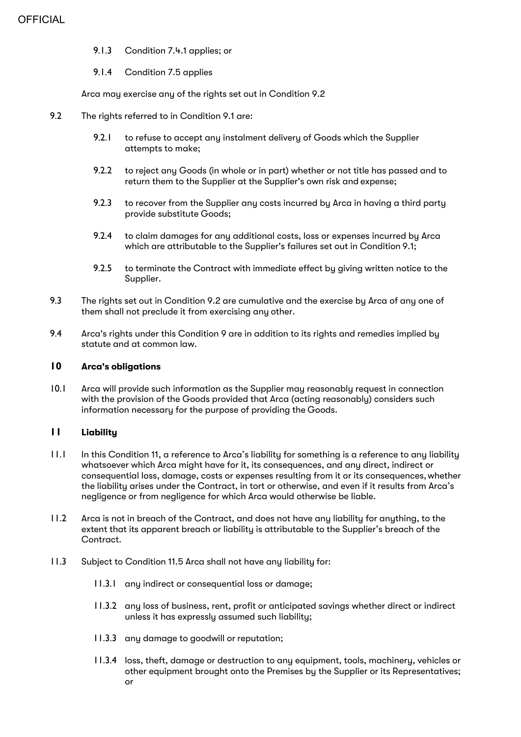- 9.1.3 Condition 7.4.1 applies; or
- 9.1.4 Condition 7.5 applies

Arca may exercise any of the rights set out in Condition 9.2

- 9.2 The rights referred to in Condition 9.1 are:
	- 9.2.1 to refuse to accept any instalment delivery of Goods which the Supplier attempts to make;
	- 9.2.2 to reject any Goods (in whole or in part) whether or not title has passed and to return them to the Supplier at the Supplier's own risk and expense;
	- 9.2.3 to recover from the Supplier any costs incurred by Arca in having a third party provide substitute Goods;
	- 9.2.4 to claim damages for any additional costs, loss or expenses incurred by Arca which are attributable to the Supplier's failures set out in Condition 9.1;
	- 9.2.5 to terminate the Contract with immediate effect by giving written notice to the Supplier.
- 9.3 The rights set out in Condition 9.2 are cumulative and the exercise by Arca of any one of them shall not preclude it from exercising any other.
- 9.4 Arca's rights under this Condition 9 are in addition to its rights and remedies implied by statute and at common law.

#### **10 Arca's obligations**

10.1 Arca will provide such information as the Supplier may reasonably request in connection with the provision of the Goods provided that Arca (acting reasonably) considers such information necessary for the purpose of providing the Goods.

# **11 Liability**

- 11.1 In this Condition 11, a reference to Arca's liability for something is a reference to any liability whatsoever which Arca might have for it, its consequences, and any direct, indirect or consequential loss, damage, costs or expenses resulting from it or its consequences,whether the liability arises under the Contract, in tort or otherwise, and even if it results from Arca's negligence or from negligence for which Arca would otherwise be liable.
- 11.2 Arca is not in breach of the Contract, and does not have any liability for anything, to the extent that its apparent breach or liability is attributable to the Supplier's breach of the Contract.
- 11.3 Subject to Condition 11.5 Arca shall not have any liability for:
	- 11.3.1 any indirect or consequential loss or damage;
	- 11.3.2 any loss of business, rent, profit or anticipated savings whether direct or indirect unless it has expressly assumed such liability;
	- 11.3.3 any damage to goodwill or reputation;
	- 11.3.4 loss, theft, damage or destruction to any equipment, tools, machinery, vehicles or other equipment brought onto the Premises by the Supplier or its Representatives; or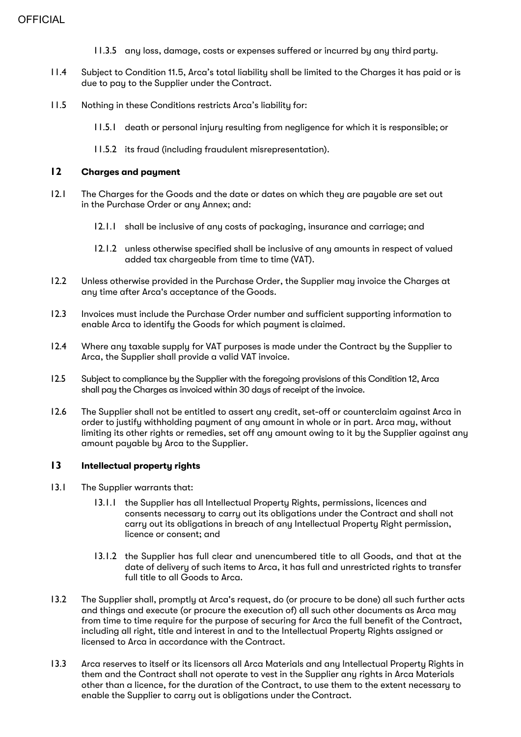- 11.3.5 any loss, damage, costs or expenses suffered or incurred by any third party.
- 11.4 Subject to Condition 11.5, Arca's total liability shall be limited to the Charges it has paid or is due to pay to the Supplier under the Contract.
- 11.5 Nothing in these Conditions restricts Arca's liability for:
	- 11.5.1 death or personal injury resulting from negligence for which it is responsible; or
	- 11.5.2 its fraud (including fraudulent misrepresentation).

# **12 Charges and payment**

- 12.1 The Charges for the Goods and the date or dates on which they are payable are set out in the Purchase Order or any Annex; and:
	- 12.1.1 shall be inclusive of any costs of packaging, insurance and carriage; and
	- 12.1.2 unless otherwise specified shall be inclusive of any amounts in respect of valued added tax chargeable from time to time (VAT).
- 12.2 Unless otherwise provided in the Purchase Order, the Supplier may invoice the Charges at any time after Arca's acceptance of the Goods.
- 12.3 Invoices must include the Purchase Order number and sufficient supporting information to enable Arca to identify the Goods for which payment is claimed.
- 12.4 Where any taxable supply for VAT purposes is made under the Contract by the Supplier to Arca, the Supplier shall provide a valid VAT invoice.
- 12.5 Subject to compliance by the Supplier with the foregoing provisions of this Condition 12, Arca shall pay the Charges as invoiced within 30 days of receipt of the invoice.
- 12.6 The Supplier shall not be entitled to assert any credit, set-off or counterclaim against Arca in order to justify withholding payment of any amount in whole or in part. Arca may, without limiting its other rights or remedies, set off any amount owing to it by the Supplier against any amount payable by Arca to the Supplier.

# **13 Intellectual property rights**

- 13.1 The Supplier warrants that:
	- 13.1.1 the Supplier has all Intellectual Property Rights, permissions, licences and consents necessary to carry out its obligations under the Contract and shall not carry out its obligations in breach of any Intellectual Property Right permission, licence or consent; and
	- 13.1.2 the Supplier has full clear and unencumbered title to all Goods, and that at the date of delivery of such items to Arca, it has full and unrestricted rights to transfer full title to all Goods to Arca.
- 13.2 The Supplier shall, promptly at Arca's request, do (or procure to be done) all such further acts and things and execute (or procure the execution of) all such other documents as Arca may from time to time require for the purpose of securing for Arca the full benefit of the Contract, including all right, title and interest in and to the Intellectual Property Rights assigned or licensed to Arca in accordance with the Contract.
- 13.3 Arca reserves to itself or its licensors all Arca Materials and any Intellectual Property Rights in them and the Contract shall not operate to vest in the Supplier any rights in Arca Materials other than a licence, for the duration of the Contract, to use them to the extent necessary to enable the Supplier to carry out is obligations under the Contract.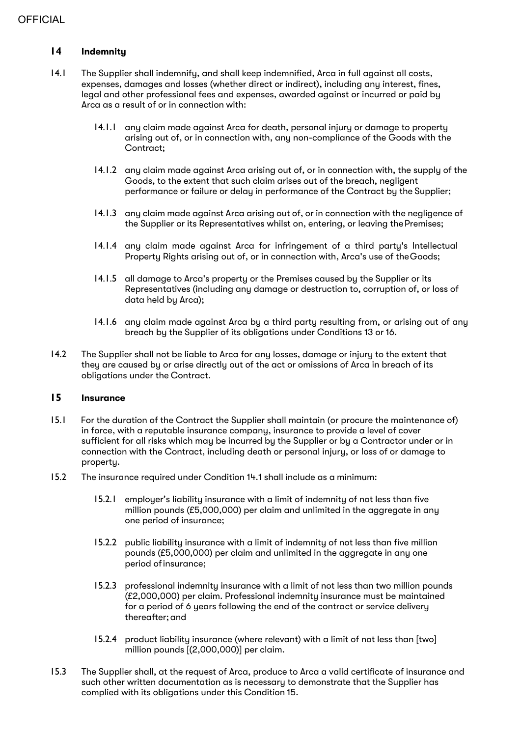# **14 Indemnity**

- 14.1 The Supplier shall indemnify, and shall keep indemnified, Arca in full against all costs, expenses, damages and losses (whether direct or indirect), including any interest, fines, legal and other professional fees and expenses, awarded against or incurred or paid by Arca as a result of or in connection with:
	- 14.1.1 any claim made against Arca for death, personal injury or damage to property arising out of, or in connection with, any non-compliance of the Goods with the Contract;
	- 14.1.2 any claim made against Arca arising out of, or in connection with, the supply of the Goods, to the extent that such claim arises out of the breach, negligent performance or failure or delay in performance of the Contract by the Supplier;
	- 14.1.3 any claim made against Arca arising out of, or in connection with the negligence of the Supplier or its Representatives whilst on, entering, or leaving the Premises;
	- 14.1.4 any claim made against Arca for infringement of a third party's Intellectual Property Rights arising out of, or in connection with, Arca's use of theGoods;
	- 14.1.5 all damage to Arca's property or the Premises caused by the Supplier or its Representatives (including any damage or destruction to, corruption of, or loss of data held by Arca);
	- 14.1.6 any claim made against Arca by a third party resulting from, or arising out of any breach by the Supplier of its obligations under Conditions 13 or 16.
- 14.2 The Supplier shall not be liable to Arca for any losses, damage or injury to the extent that they are caused by or arise directly out of the act or omissions of Arca in breach of its obligations under the Contract.

# **15 Insurance**

- 15.1 For the duration of the Contract the Supplier shall maintain (or procure the maintenance of) in force, with a reputable insurance company, insurance to provide a level of cover sufficient for all risks which may be incurred by the Supplier or by a Contractor under or in connection with the Contract, including death or personal injury, or loss of or damage to property.
- 15.2 The insurance required under Condition 14.1 shall include as a minimum:
	- 15.2.1 employer's liability insurance with a limit of indemnity of not less than five million pounds (£5,000,000) per claim and unlimited in the aggregate in any one period of insurance;
	- 15.2.2 public liability insurance with a limit of indemnity of not less than five million pounds (£5,000,000) per claim and unlimited in the aggregate in any one period of insurance;
	- 15.2.3 professional indemnity insurance with a limit of not less than two million pounds (£2,000,000) per claim. Professional indemnity insurance must be maintained for a period of 6 years following the end of the contract or service delivery thereafter;and
	- 15.2.4 product liability insurance (where relevant) with a limit of not less than [two] million pounds [(2,000,000)] per claim.
- 15.3 The Supplier shall, at the request of Arca, produce to Arca a valid certificate of insurance and such other written documentation as is necessary to demonstrate that the Supplier has complied with its obligations under this Condition 15.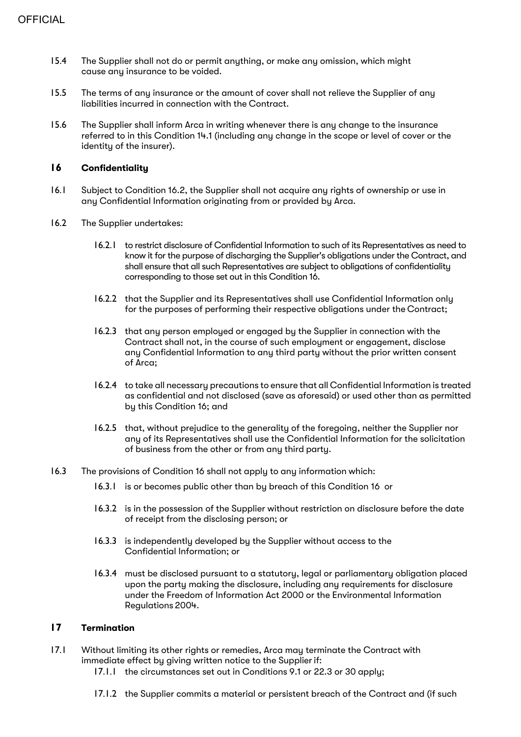- 15.4 The Supplier shall not do or permit anything, or make any omission, which might cause any insurance to be voided.
- 15.5 The terms of any insurance or the amount of cover shall not relieve the Supplier of any liabilities incurred in connection with the Contract.
- 15.6 The Supplier shall inform Arca in writing whenever there is any change to the insurance referred to in this Condition 14.1 (including any change in the scope or level of cover or the identity of the insurer).

# **16 Confidentiality**

- 16.1 Subject to Condition 16.2, the Supplier shall not acquire any rights of ownership or use in any Confidential Information originating from or provided by Arca.
- 16.2 The Supplier undertakes:
	- 16.2.1 to restrict disclosure of Confidential Information to such of its Representatives as need to know it for the purpose of discharging the Supplier's obligations under the Contract, and shall ensure that all such Representatives are subject to obligations of confidentiality corresponding to those set out in this Condition 16.
	- 16.2.2 that the Supplier and its Representatives shall use Confidential Information only for the purposes of performing their respective obligations under the Contract;
	- 16.2.3 that any person employed or engaged by the Supplier in connection with the Contract shall not, in the course of such employment or engagement, disclose any Confidential Information to any third party without the prior written consent of Arca;
	- 16.2.4 to take all necessary precautions to ensure that all Confidential Information is treated as confidential and not disclosed (save as aforesaid) or used other than as permitted by this Condition 16; and
	- 16.2.5 that, without prejudice to the generality of the foregoing, neither the Supplier nor any of its Representatives shall use the Confidential Information for the solicitation of business from the other or from any third party.
- 16.3 The provisions of Condition 16 shall not apply to any information which:
	- 16.3.1 is or becomes public other than by breach of this Condition 16 or
	- 16.3.2 is in the possession of the Supplier without restriction on disclosure before the date of receipt from the disclosing person; or
	- 16.3.3 is independently developed by the Supplier without access to the Confidential Information; or
	- 16.3.4 must be disclosed pursuant to a statutory, legal or parliamentary obligation placed upon the party making the disclosure, including any requirements for disclosure under the Freedom of Information Act 2000 or the Environmental Information Regulations 2004.

# **17 Termination**

- 17.1 Without limiting its other rights or remedies, Arca may terminate the Contract with immediate effect by giving written notice to the Supplier if:
	- 17.1.1 the circumstances set out in Conditions 9.1 or 22.3 or 30 apply;
	- 17.1.2 the Supplier commits a material or persistent breach of the Contract and (if such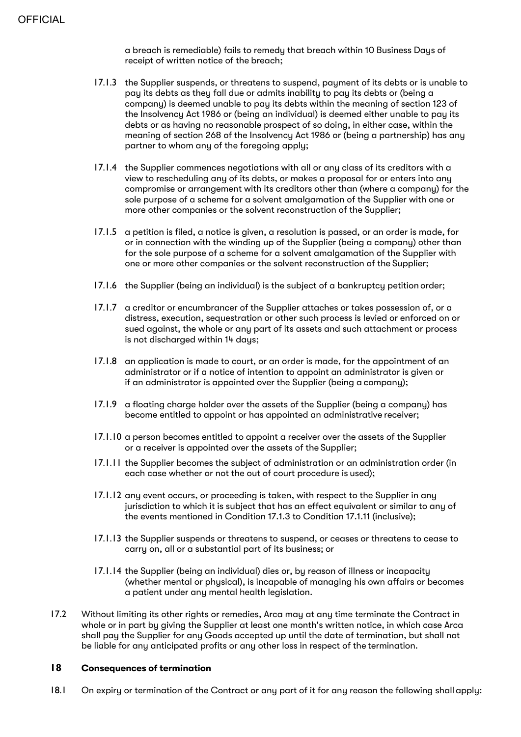a breach is remediable) fails to remedy that breach within 10 Business Days of receipt of written notice of the breach;

- 17.1.3 the Supplier suspends, or threatens to suspend, payment of its debts or is unable to pay its debts as they fall due or admits inability to pay its debts or (being a company) is deemed unable to pay its debts within the meaning of section 123 of the Insolvency Act 1986 or (being an individual) is deemed either unable to pay its debts or as having no reasonable prospect of so doing, in either case, within the meaning of section 268 of the Insolvency Act 1986 or (being a partnership) has any partner to whom any of the foregoing apply;
- 17.1.4 the Supplier commences negotiations with all or any class of its creditors with a view to rescheduling any of its debts, or makes a proposal for or enters into any compromise or arrangement with its creditors other than (where a company) for the sole purpose of a scheme for a solvent amalgamation of the Supplier with one or more other companies or the solvent reconstruction of the Supplier;
- 17.1.5 a petition is filed, a notice is given, a resolution is passed, or an order is made, for or in connection with the winding up of the Supplier (being a company) other than for the sole purpose of a scheme for a solvent amalgamation of the Supplier with one or more other companies or the solvent reconstruction of the Supplier;
- 17.1.6 the Supplier (being an individual) is the subject of a bankruptcy petition order;
- 17.1.7 a creditor or encumbrancer of the Supplier attaches or takes possession of, or a distress, execution, sequestration or other such process is levied or enforced on or sued against, the whole or any part of its assets and such attachment or process is not discharged within 14 days;
- 17.1.8 an application is made to court, or an order is made, for the appointment of an administrator or if a notice of intention to appoint an administrator is given or if an administrator is appointed over the Supplier (being a company);
- 17.1.9 a floating charge holder over the assets of the Supplier (being a company) has become entitled to appoint or has appointed an administrative receiver;
- 17.1.10 a person becomes entitled to appoint a receiver over the assets of the Supplier or a receiver is appointed over the assets of the Supplier;
- 17.1.11 the Supplier becomes the subject of administration or an administration order (in each case whether or not the out of court procedure is used);
- 17.1.12 any event occurs, or proceeding is taken, with respect to the Supplier in any jurisdiction to which it is subject that has an effect equivalent or similar to any of the events mentioned in Condition 17.1.3 to Condition 17.1.11 (inclusive);
- 17.1.13 the Supplier suspends or threatens to suspend, or ceases or threatens to cease to carry on, all or a substantial part of its business; or
- 17.1.14 the Supplier (being an individual) dies or, by reason of illness or incapacity (whether mental or physical), is incapable of managing his own affairs or becomes a patient under any mental health legislation.
- 17.2 Without limiting its other rights or remedies, Arca may at any time terminate the Contract in whole or in part by giving the Supplier at least one month's written notice, in which case Arca shall pay the Supplier for any Goods accepted up until the date of termination, but shall not be liable for any anticipated profits or any other loss in respect of the termination.

#### **18 Consequences of termination**

18.1 On expiry or termination of the Contract or any part of it for any reason the following shall apply: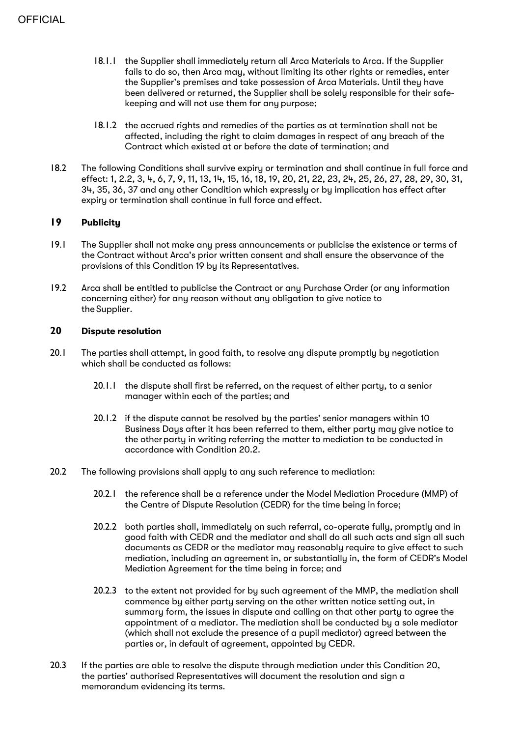- 18.1.1 the Supplier shall immediately return all Arca Materials to Arca. If the Supplier fails to do so, then Arca may, without limiting its other rights or remedies, enter the Supplier's premises and take possession of Arca Materials. Until they have been delivered or returned, the Supplier shall be solely responsible for their safekeeping and will not use them for any purpose;
- 18.1.2 the accrued rights and remedies of the parties as at termination shall not be affected, including the right to claim damages in respect of any breach of the Contract which existed at or before the date of termination; and
- 18.2 The following Conditions shall survive expiry or termination and shall continue in full force and effect: 1, 2.2, 3, 4, 6, 7, 9, 11, 13, 14, 15, 16, 18, 19, 20, 21, 22, 23, 24, 25, 26, 27, 28, 29, 30, 31, 34, 35, 36, 37 and any other Condition which expressly or by implication has effect after expiry or termination shall continue in full force and effect.

# **19 Publicity**

- 19.1 The Supplier shall not make any press announcements or publicise the existence or terms of the Contract without Arca's prior written consent and shall ensure the observance of the provisions of this Condition 19 by its Representatives.
- 19.2 Arca shall be entitled to publicise the Contract or any Purchase Order (or any information concerning either) for any reason without any obligation to give notice to the Supplier.

#### **20 Dispute resolution**

- 20.1 The parties shall attempt, in good faith, to resolve any dispute promptly by negotiation which shall be conducted as follows:
	- 20.1.1 the dispute shall first be referred, on the request of either party, to a senior manager within each of the parties; and
	- 20.1.2 if the dispute cannot be resolved by the parties' senior managers within 10 Business Days after it has been referred to them, either party may give notice to the other party in writing referring the matter to mediation to be conducted in accordance with Condition 20.2.
- 20.2 The following provisions shall apply to any such reference to mediation:
	- 20.2.1 the reference shall be a reference under the Model Mediation Procedure (MMP) of the Centre of Dispute Resolution (CEDR) for the time being in force;
	- 20.2.2 both parties shall, immediately on such referral, co-operate fully, promptly and in good faith with CEDR and the mediator and shall do all such acts and sign all such documents as CEDR or the mediator may reasonably require to give effect to such mediation, including an agreement in, or substantially in, the form of CEDR's Model Mediation Agreement for the time being in force; and
	- 20.2.3 to the extent not provided for by such agreement of the MMP, the mediation shall commence by either party serving on the other written notice setting out, in summary form, the issues in dispute and calling on that other party to agree the appointment of a mediator. The mediation shall be conducted by a sole mediator (which shall not exclude the presence of a pupil mediator) agreed between the parties or, in default of agreement, appointed by CEDR.
- 20.3 If the parties are able to resolve the dispute through mediation under this Condition 20, the parties' authorised Representatives will document the resolution and sign a memorandum evidencing its terms.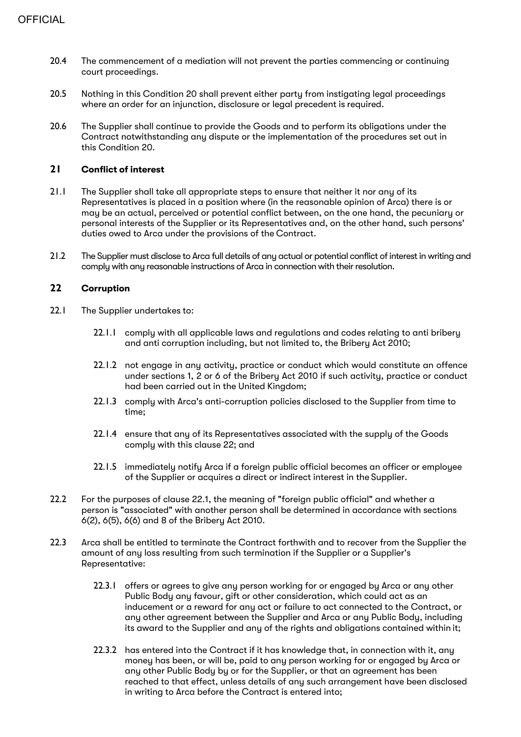- 20.4 The commencement of a mediation will not prevent the parties commencing or continuing court proceedings.
- 20.5 Nothing in this Condition 20 shall prevent either party from instigating legal proceedings where an order for an injunction, disclosure or legal precedent is required.
- 20.6 The Supplier shall continue to provide the Goods and to perform its obligations under the Contract notwithstanding any dispute or the implementation of the procedures set out in this Condition 20.

#### **21 Conflict of interest**

- 21.1 The Supplier shall take all appropriate steps to ensure that neither it nor any of its Representatives is placed in a position where (in the reasonable opinion of Arca) there is or may be an actual, perceived or potential conflict between, on the one hand, the pecuniary or personal interests of the Supplier or its Representatives and, on the other hand, such persons' duties owed to Arca under the provisions of the Contract.
- 21.2 The Supplier must disclose to Arca full details of any actual or potential conflict of interest in writing and comply with any reasonable instructions of Arca in connection with their resolution.

# **22 Corruption**

- 22.1 The Supplier undertakes to:
	- 22.1.1 comply with all applicable laws and regulations and codes relating to anti bribery and anti corruption including, but not limited to, the Bribery Act 2010;
	- 22.1.2 not engage in any activity, practice or conduct which would constitute an offence under sections 1, 2 or 6 of the Bribery Act 2010 if such activity, practice or conduct had been carried out in the United Kingdom;
	- 22.1.3 comply with Arca's anti-corruption policies disclosed to the Supplier from time to time;
	- 22.1.4 ensure that any of its Representatives associated with the supply of the Goods comply with this clause 22; and
	- 22.1.5 immediately notify Arca if a foreign public official becomes an officer or employee of the Supplier or acquires a direct or indirect interest in the Supplier.
- 22.2 For the purposes of clause 22.1, the meaning of "foreign public official" and whether a person is "associated" with another person shall be determined in accordance with sections 6(2), 6(5), 6(6) and 8 of the Bribery Act 2010.
- 22.3 Arca shall be entitled to terminate the Contract forthwith and to recover from the Supplier the amount of any loss resulting from such termination if the Supplier or a Supplier's Representative:
	- 22.3.1 offers or agrees to give any person working for or engaged by Arca or any other Public Body any favour, gift or other consideration, which could act as an inducement or a reward for any act or failure to act connected to the Contract, or any other agreement between the Supplier and Arca or any Public Body, including its award to the Supplier and any of the rights and obligations contained within it;
	- 22.3.2 has entered into the Contract if it has knowledge that, in connection with it, any money has been, or will be, paid to any person working for or engaged by Arca or any other Public Body by or for the Supplier, or that an agreement has been reached to that effect, unless details of any such arrangement have been disclosed in writing to Arca before the Contract is entered into;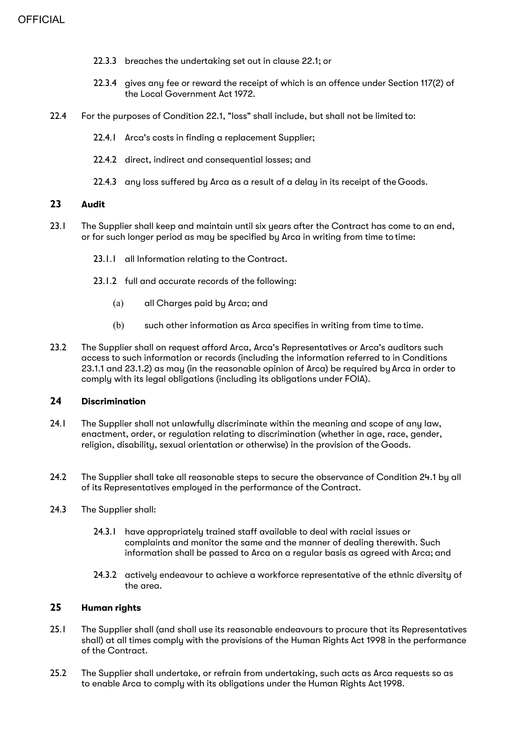- 22.3.3 breaches the undertaking set out in clause 22.1; or
- 22.3.4 gives any fee or reward the receipt of which is an offence under Section 117(2) of the Local Government Act 1972.
- 22.4 For the purposes of Condition 22.1, "loss" shall include, but shall not be limited to:
	- 22.4.1 Arca's costs in finding a replacement Supplier;
	- 22.4.2 direct, indirect and consequential losses: and
	- 22.4.3 any loss suffered by Arca as a result of a delay in its receipt of the Goods.

# **23 Audit**

- 23.1 The Supplier shall keep and maintain until six years after the Contract has come to an end, or for such longer period as may be specified by Arca in writing from time to time:
	- 23.1.1 all Information relating to the Contract.
	- 23.1.2 full and accurate records of the following:
		- (a) all Charges paid by Arca; and
		- (b) such other information as Arca specifies in writing from time to time.
- 23.2 The Supplier shall on request afford Arca, Arca's Representatives or Arca's auditors such access to such information or records (including the information referred to in Conditions 23.1.1 and 23.1.2) as may (in the reasonable opinion of Arca) be required by Arca in order to comply with its legal obligations (including its obligations under FOIA).

#### **24 Discrimination**

- 24.1 The Supplier shall not unlawfully discriminate within the meaning and scope of any law, enactment, order, or regulation relating to discrimination (whether in age, race, gender, religion, disability, sexual orientation or otherwise) in the provision of the Goods.
- 24.2 The Supplier shall take all reasonable steps to secure the observance of Condition 24.1 by all of its Representatives employed in the performance of the Contract.
- 24.3 The Supplier shall:
	- 24.3.1 have appropriately trained staff available to deal with racial issues or complaints and monitor the same and the manner of dealing therewith. Such information shall be passed to Arca on a regular basis as agreed with Arca; and
	- 24.3.2 actively endeavour to achieve a workforce representative of the ethnic diversity of the area.

# **25 Human rights**

- 25.1 The Supplier shall (and shall use its reasonable endeavours to procure that its Representatives shall) at all times comply with the provisions of the Human Rights Act 1998 in the performance of the Contract.
- 25.2 The Supplier shall undertake, or refrain from undertaking, such acts as Arca requests so as to enable Arca to comply with its obligations under the Human Rights Act 1998.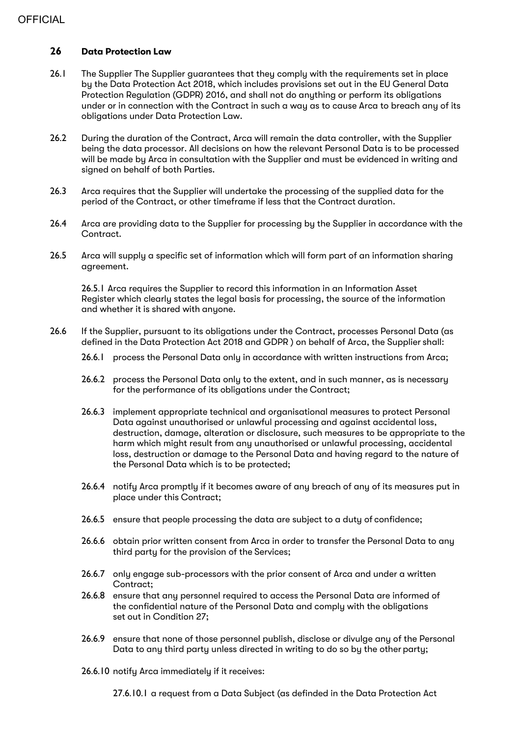# **OFFICIAL**

# **26 Data Protection Law**

- 26.1 The Supplier The Supplier guarantees that they comply with the requirements set in place by the Data Protection Act 2018, which includes provisions set out in the EU General Data Protection Regulation (GDPR) 2016, and shall not do anything or perform its obligations under or in connection with the Contract in such a way as to cause Arca to breach any of its obligations under Data Protection Law.
- 26.2 During the duration of the Contract, Arca will remain the data controller, with the Supplier being the data processor. All decisions on how the relevant Personal Data is to be processed will be made by Arca in consultation with the Supplier and must be evidenced in writing and signed on behalf of both Parties.
- 26.3 Arca requires that the Supplier will undertake the processing of the supplied data for the period of the Contract, or other timeframe if less that the Contract duration.
- 26.4 Arca are providing data to the Supplier for processing by the Supplier in accordance with the Contract.
- 26.5 Arca will supply a specific set of information which will form part of an information sharing agreement.

26.5.1 Arca requires the Supplier to record this information in an Information Asset Register which clearly states the legal basis for processing, the source of the information and whether it is shared with anyone.

- 26.6 If the Supplier, pursuant to its obligations under the Contract, processes Personal Data (as defined in the Data Protection Act 2018 and GDPR ) on behalf of Arca, the Supplier shall:
	- 26.6.1 process the Personal Data only in accordance with written instructions from Arca;
	- 26.6.2 process the Personal Data only to the extent, and in such manner, as is necessary for the performance of its obligations under the Contract;
	- 26.6.3 implement appropriate technical and organisational measures to protect Personal Data against unauthorised or unlawful processing and against accidental loss, destruction, damage, alteration or disclosure, such measures to be appropriate to the harm which might result from any unauthorised or unlawful processing, accidental loss, destruction or damage to the Personal Data and having regard to the nature of the Personal Data which is to be protected;
	- 26.6.4 notify Arca promptly if it becomes aware of any breach of any of its measures put in place under this Contract;
	- 26.6.5 ensure that people processing the data are subject to a duty of confidence;
	- 26.6.6 obtain prior written consent from Arca in order to transfer the Personal Data to any third party for the provision of the Services;
	- 26.6.7 only engage sub-processors with the prior consent of Arca and under a written Contract;
	- 26.6.8 ensure that any personnel required to access the Personal Data are informed of the confidential nature of the Personal Data and comply with the obligations set out in Condition 27;
	- 26.6.9 ensure that none of those personnel publish, disclose or divulge any of the Personal Data to any third party unless directed in writing to do so by the other party;
	- 26.6.10 notify Arca immediately if it receives:

27.6.10.1 a request from a Data Subject (as definded in the Data Protection Act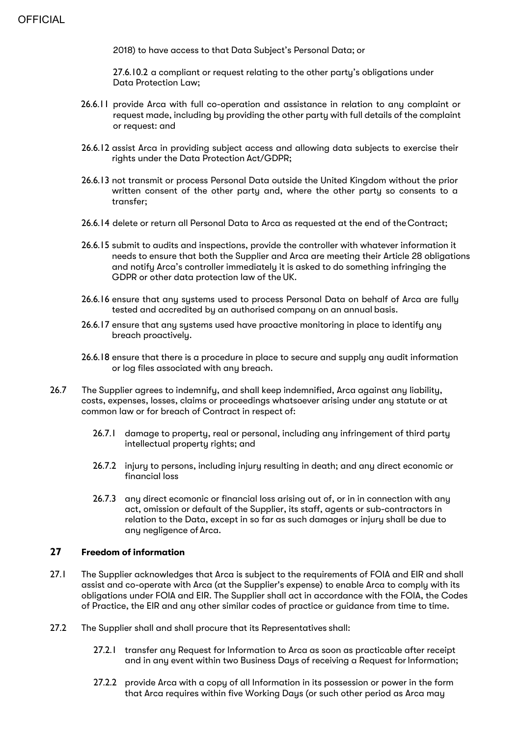2018) to have access to that Data Subject's Personal Data; or

27.6.10.2 a compliant or request relating to the other party's obligations under Data Protection Law;

- 26.6.11 provide Arca with full co-operation and assistance in relation to any complaint or request made, including by providing the other party with full details of the complaint or request: and
- 26.6.12 assist Arca in providing subject access and allowing data subjects to exercise their rights under the Data Protection Act/GDPR;
- 26.6.13 not transmit or process Personal Data outside the United Kingdom without the prior written consent of the other party and, where the other party so consents to a transfer;
- 26.6.14 delete or return all Personal Data to Arca as requested at the end of theContract;
- 26.6.15 submit to audits and inspections, provide the controller with whatever information it needs to ensure that both the Supplier and Arca are meeting their Article 28 obligations and notify Arca's controller immediately it is asked to do something infringing the GDPR or other data protection law of the UK.
- 26.6.16 ensure that any systems used to process Personal Data on behalf of Arca are fully tested and accredited by an authorised company on an annual basis.
- 26.6.17 ensure that any systems used have proactive monitoring in place to identify any breach proactively.
- 26.6.18 ensure that there is a procedure in place to secure and supply any audit information or log files associated with any breach.
- 26.7 The Supplier agrees to indemnify, and shall keep indemnified, Arca against any liability, costs, expenses, losses, claims or proceedings whatsoever arising under any statute or at common law or for breach of Contract in respect of:
	- 26.7.1 damage to property, real or personal, including any infringement of third party intellectual property rights; and
	- 26.7.2 injury to persons, including injury resulting in death; and any direct economic or financial loss
	- 26.7.3 any direct ecomonic or financial loss arising out of, or in in connection with any act, omission or default of the Supplier, its staff, agents or sub-contractors in relation to the Data, except in so far as such damages or injury shall be due to any negligence ofArca.

# **27 Freedom of information**

- 27.1 The Supplier acknowledges that Arca is subject to the requirements of FOIA and EIR and shall assist and co-operate with Arca (at the Supplier's expense) to enable Arca to comply with its obligations under FOIA and EIR. The Supplier shall act in accordance with the FOIA, the Codes of Practice, the EIR and any other similar codes of practice or guidance from time to time.
- 27.2 The Supplier shall and shall procure that its Representatives shall:
	- 27.2.1 transfer any Request for Information to Arca as soon as practicable after receipt and in any event within two Business Days of receiving a Request for Information;
	- 27.2.2 provide Arca with a copy of all Information in its possession or power in the form that Arca requires within five Working Days (or such other period as Arca may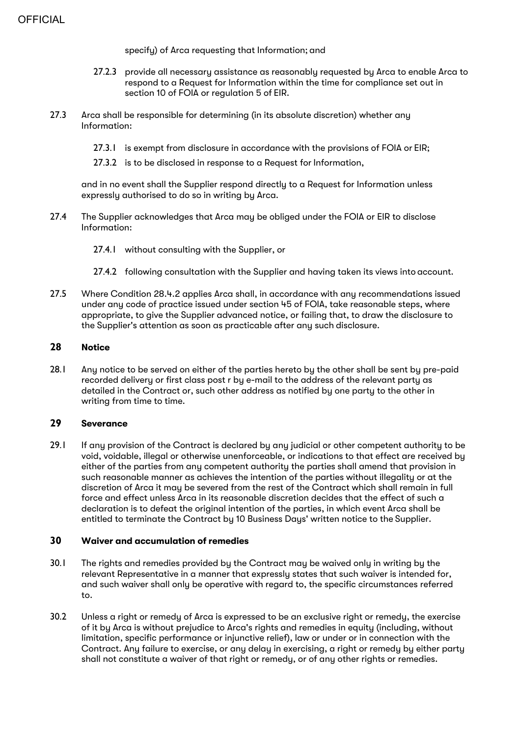specify) of Arca requesting that Information; and

- 27.2.3 provide all necessary assistance as reasonably requested by Arca to enable Arca to respond to a Request for Information within the time for compliance set out in section 10 of FOIA or regulation 5 of EIR.
- 27.3 Arca shall be responsible for determining (in its absolute discretion) whether any Information:
	- 27.3.1 is exempt from disclosure in accordance with the provisions of FOIA or EIR;
	- 27.3.2 is to be disclosed in response to a Request for Information,

and in no event shall the Supplier respond directly to a Request for Information unless expressly authorised to do so in writing by Arca.

- 27.4 The Supplier acknowledges that Arca may be obliged under the FOIA or EIR to disclose Information:
	- 27.4.1 without consulting with the Supplier, or
	- 27.4.2 following consultation with the Supplier and having taken its views into account.
- 27.5 Where Condition 28.4.2 applies Arca shall, in accordance with any recommendations issued under any code of practice issued under section 45 of FOIA, take reasonable steps, where appropriate, to give the Supplier advanced notice, or failing that, to draw the disclosure to the Supplier's attention as soon as practicable after any such disclosure.

#### **28 Notice**

28.1 Any notice to be served on either of the parties hereto by the other shall be sent by pre-paid recorded delivery or first class post r by e-mail to the address of the relevant party as detailed in the Contract or, such other address as notified by one party to the other in writing from time to time.

#### **29 Severance**

29.1 If any provision of the Contract is declared by any judicial or other competent authority to be void, voidable, illegal or otherwise unenforceable, or indications to that effect are received by either of the parties from any competent authority the parties shall amend that provision in such reasonable manner as achieves the intention of the parties without illegality or at the discretion of Arca it may be severed from the rest of the Contract which shall remain in full force and effect unless Arca in its reasonable discretion decides that the effect of such a declaration is to defeat the original intention of the parties, in which event Arca shall be entitled to terminate the Contract by 10 Business Days' written notice to the Supplier.

#### **30 Waiver and accumulation of remedies**

- 30.1 The rights and remedies provided by the Contract may be waived only in writing by the relevant Representative in a manner that expressly states that such waiver is intended for, and such waiver shall only be operative with regard to, the specific circumstances referred to.
- 30.2 Unless a right or remedy of Arca is expressed to be an exclusive right or remedy, the exercise of it by Arca is without prejudice to Arca's rights and remedies in equity (including, without limitation, specific performance or injunctive relief), law or under or in connection with the Contract. Any failure to exercise, or any delay in exercising, a right or remedy by either party shall not constitute a waiver of that right or remedy, or of any other rights or remedies.